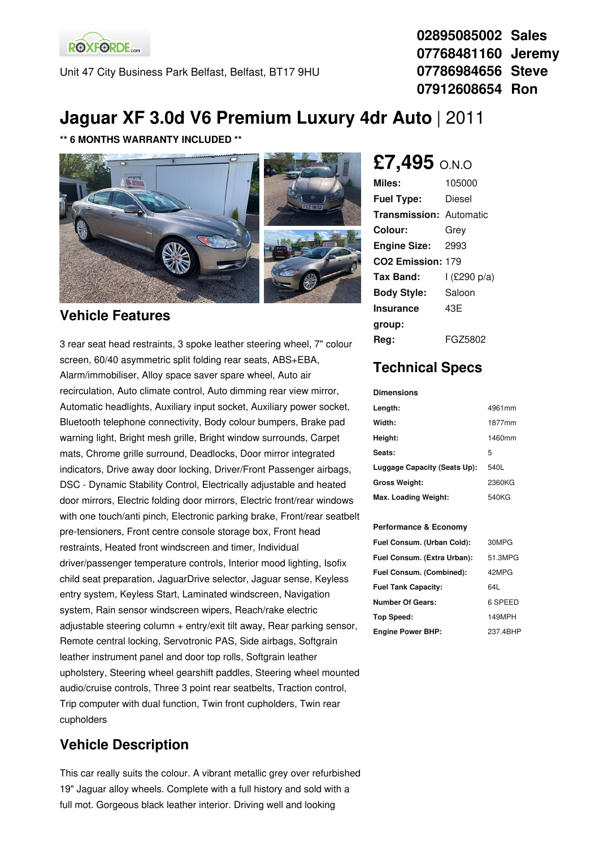**ROXFORDE**<sub>cars</sub>

Unit 47 City Business Park Belfast, Belfast, BT17 9HU

**02895085002 Sales 07768481160 Jeremy 07786984656 Steve 07912608654 Ron**

# **Jaguar XF 3.0d V6 Premium Luxury 4dr Auto** | 2011

#### **\*\* 6 MONTHS WARRANTY INCLUDED \*\***



#### **Vehicle Features**

3 rear seat head restraints, 3 spoke leather steering wheel, 7" colour screen, 60/40 asymmetric split folding rear seats, ABS+EBA, Alarm/immobiliser, Alloy space saver spare wheel, Auto air recirculation, Auto climate control, Auto dimming rear view mirror, Automatic headlights, Auxiliary input socket, Auxiliary power socket, Bluetooth telephone connectivity, Body colour bumpers, Brake pad warning light, Bright mesh grille, Bright window surrounds, Carpet mats, Chrome grille surround, Deadlocks, Door mirror integrated indicators, Drive away door locking, Driver/Front Passenger airbags, DSC - Dynamic Stability Control, Electrically adjustable and heated door mirrors, Electric folding door mirrors, Electric front/rear windows with one touch/anti pinch, Electronic parking brake, Front/rear seatbelt pre-tensioners, Front centre console storage box, Front head restraints, Heated front windscreen and timer, Individual driver/passenger temperature controls, Interior mood lighting, Isofix child seat preparation, JaguarDrive selector, Jaguar sense, Keyless entry system, Keyless Start, Laminated windscreen, Navigation system, Rain sensor windscreen wipers, Reach/rake electric adjustable steering column + entry/exit tilt away, Rear parking sensor, Remote central locking, Servotronic PAS, Side airbags, Softgrain leather instrument panel and door top rolls, Softgrain leather upholstery, Steering wheel gearshift paddles, Steering wheel mounted audio/cruise controls, Three 3 point rear seatbelts, Traction control, Trip computer with dual function, Twin front cupholders, Twin rear cupholders

### **Vehicle Description**

This car really suits the colour. A vibrant metallic grey over refurbished 19" Jaguar alloy wheels. Complete with a full history and sold with a full mot. Gorgeous black leather interior. Driving well and looking

# **£7,495** O.N.O

| Miles:                         | 105000       |
|--------------------------------|--------------|
| <b>Fuel Type:</b>              | Diesel       |
| <b>Transmission: Automatic</b> |              |
| Colour:                        | Grey         |
| <b>Engine Size:</b>            | 2993         |
| CO <sub>2</sub> Emission: 179  |              |
| Tax Band:                      | l (£290 p/a) |
| <b>Body Style:</b>             | Saloon       |
| <b>Insurance</b>               | 43F          |
| group:                         |              |
| Rea:                           | FGZ5802      |

## **Technical Specs**

**Dimensions**

| Length:                      | 4961mm |
|------------------------------|--------|
| Width:                       | 1877mm |
| Height:                      | 1460mm |
| Seats:                       | 5      |
| Luggage Capacity (Seats Up): | 540L   |
| <b>Gross Weight:</b>         | 2360KG |
| Max. Loading Weight:         | 540KG  |

#### **Performance & Economy**

| Fuel Consum. (Urban Cold):  | 30MPG    |
|-----------------------------|----------|
| Fuel Consum. (Extra Urban): | 51.3MPG  |
| Fuel Consum. (Combined):    | 42MPG    |
| <b>Fuel Tank Capacity:</b>  | 64L      |
| <b>Number Of Gears:</b>     | 6 SPEED  |
| Top Speed:                  | 149MPH   |
| <b>Engine Power BHP:</b>    | 237.4BHP |